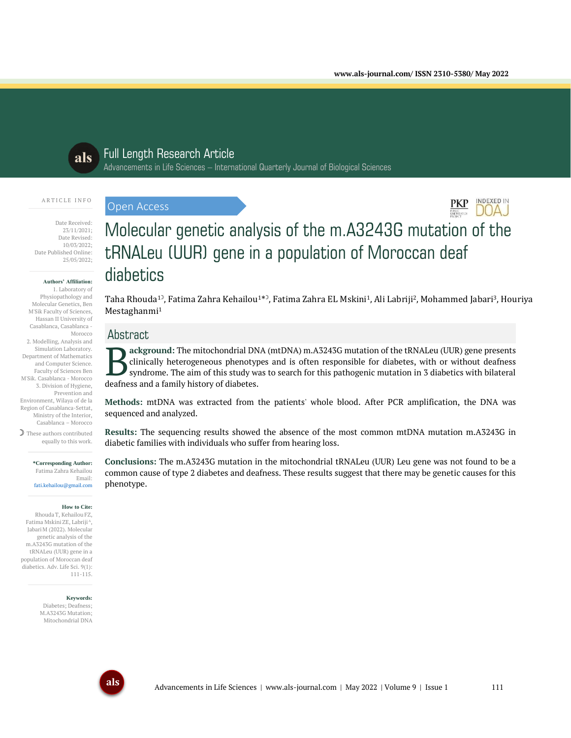**INDEXED IN** 



# Full Length Research Article

Advancements in Life Sciences – International Quarterly Journal of Biological Sciences

#### A R T I C L E I N F O

Date Received: 23/11/2021; Date Revised: 10/03/2022; Date Published Online: 25/05/2022;

#### **Authors' Affiliation:**

1. Laboratory of Physiopathology and Molecular Genetics, Ben M'Sik Faculty of Sciences, Hassan II University of Casablanca, Casablanca - Morocco 2. Modelling, Analysis and Simulation Laboratory. Department of Mathematics and Computer Science. Faculty of Sciences Ben M'Sik. Casablanca - Morocco 3. Division of Hygiene, Prevention and Environment, Wilaya of de la Region of Casablanca-Settat, Ministry of the Interior, Casablanca – Morocco ☽ These authors contributed

equally to this work.

**\*Corresponding Author:** Fatima Zahra Kehailou Email: fati.kehailou@gmail.com

#### **How to Cite:**

RhoudaT, Kehailou FZ, Fatima Mskini ZE, Labriji <sup>A</sup>, JabariM (2022). Molecular genetic analysis of the m.A3243G mutation of the tRNALeu (UUR) gene in a population of Moroccan deaf diabetics. Adv. Life Sci. 9(1): 111-115.

> **Keywords:** Diabetes; Deafness; M.A3243G Mutation;

Mitochondrial DNA

# **DOAJ** Molecular genetic analysis of the m.A3243G mutation of the tRNALeu (UUR) gene in a population of Moroccan deaf diabetics

Taha Rhouda<sup>1)</sup>, Fatima Zahra Kehailou<sup>1\*)</sup>, Fatima Zahra EL Mskini<sup>1</sup>, Ali Labriji<sup>2</sup>, Mohammed Jabari<sup>3</sup>, Houriya Mestaghanmi 1

# Abstract

Open Access

**ackground:** The mitochondrial DNA (mtDNA) m.A3243G mutation of the tRNALeu (UUR) gene presents clinically heterogeneous phenotypes and is often responsible for diabetes, with or without deafness syndrome. The aim of this study was to search for this pathogenic mutation in 3 diabetics with bilateral **deafficient** acts and a family history of diabetes.<br> **deafness and a family history of diabetes.** 

**Methods:** mtDNA was extracted from the patients' whole blood. After PCR amplification, the DNA was sequenced and analyzed.

**Results:** The sequencing results showed the absence of the most common mtDNA mutation m.A3243G in diabetic families with individuals who suffer from hearing loss.

**Conclusions:** The m.A3243G mutation in the mitochondrial tRNALeu (UUR) Leu gene was not found to be a common cause of type 2 diabetes and deafness. These results suggest that there may be genetic causes for this phenotype.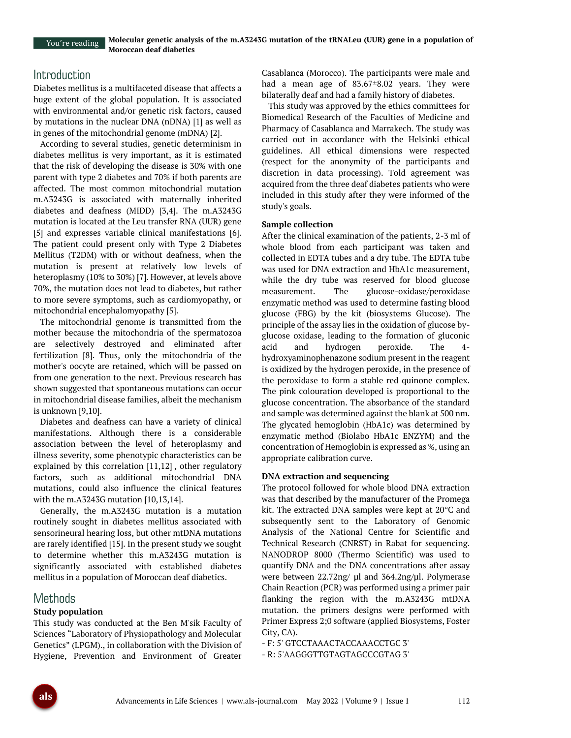# **Introduction**

Diabetes mellitus is a multifaceted disease that affects a huge extent of the global population. It is associated with environmental and/or genetic risk factors, caused by mutations in the nuclear DNA (nDNA) [1] as well as in genes of the mitochondrial genome (mDNA) [2].

According to several studies, genetic determinism in diabetes mellitus is very important, as it is estimated that the risk of developing the disease is 30% with one parent with type 2 diabetes and 70% if both parents are affected. The most common mitochondrial mutation m.A3243G is associated with maternally inherited diabetes and deafness (MIDD) [3,4]. The m.A3243G mutation is located at the Leu transfer RNA (UUR) gene [5] and expresses variable clinical manifestations [6]. The patient could present only with Type 2 Diabetes Mellitus (T2DM) with or without deafness, when the mutation is present at relatively low levels of heteroplasmy (10% to 30%) [7]. However, at levels above 70%, the mutation does not lead to diabetes, but rather to more severe symptoms, such as cardiomyopathy, or mitochondrial encephalomyopathy [5].

The mitochondrial genome is transmitted from the mother because the mitochondria of the spermatozoa are selectively destroyed and eliminated after fertilization [8]. Thus, only the mitochondria of the mother's oocyte are retained, which will be passed on from one generation to the next. Previous research has shown suggested that spontaneous mutations can occur in mitochondrial disease families, albeit the mechanism is unknown [9,10].

Diabetes and deafness can have a variety of clinical manifestations. Although there is a considerable association between the level of heteroplasmy and illness severity, some phenotypic characteristics can be explained by this correlation [11,12] , other regulatory factors, such as additional mitochondrial DNA mutations, could also influence the clinical features with the m.A3243G mutation [10,13,14].

Generally, the m.A3243G mutation is a mutation routinely sought in diabetes mellitus associated with sensorineural hearing loss, but other mtDNA mutations are rarely identified [15]. In the present study we sought to determine whether this m.A3243G mutation is significantly associated with established diabetes mellitus in a population of Moroccan deaf diabetics.

# Methods

## **Study population**

This study was conducted at the Ben M'sik Faculty of Sciences "Laboratory of Physiopathology and Molecular Genetics" (LPGM)., in collaboration with the Division of Hygiene, Prevention and Environment of Greater

Casablanca (Morocco). The participants were male and had a mean age of 83.67±8.02 years. They were bilaterally deaf and had a family history of diabetes.

This study was approved by the ethics committees for Biomedical Research of the Faculties of Medicine and Pharmacy of Casablanca and Marrakech. The study was carried out in accordance with the Helsinki ethical guidelines. All ethical dimensions were respected (respect for the anonymity of the participants and discretion in data processing). Told agreement was acquired from the three deaf diabetes patients who were included in this study after they were informed of the study's goals.

#### **Sample collection**

After the clinical examination of the patients, 2-3 ml of whole blood from each participant was taken and collected in EDTA tubes and a dry tube. The EDTA tube was used for DNA extraction and HbA1c measurement, while the dry tube was reserved for blood glucose measurement. The glucose-oxidase/peroxidase enzymatic method was used to determine fasting blood glucose (FBG) by the kit (biosystems Glucose). The principle of the assay lies in the oxidation of glucose byglucose oxidase, leading to the formation of gluconic acid and hydrogen peroxide. The 4 hydroxyaminophenazone sodium present in the reagent is oxidized by the hydrogen peroxide, in the presence of the peroxidase to form a stable red quinone complex. The pink colouration developed is proportional to the glucose concentration. The absorbance of the standard and sample was determined against the blank at 500 nm. The glycated hemoglobin (HbA1c) was determined by enzymatic method (Biolabo HbA1c ENZYM) and the concentration of Hemoglobin is expressed as %, using an appropriate calibration curve.

## **DNA extraction and sequencing**

The protocol followed for whole blood DNA extraction was that described by the manufacturer of the Promega kit. The extracted DNA samples were kept at 20°C and subsequently sent to the Laboratory of Genomic Analysis of the National Centre for Scientific and Technical Research (CNRST) in Rabat for sequencing. NANODROP 8000 (Thermo Scientific) was used to quantify DNA and the DNA concentrations after assay were between 22.72ng/ μl and 364.2ng/µl. Polymerase Chain Reaction (PCR) was performed using a primer pair flanking the region with the m.A3243G mtDNA mutation. the primers designs were performed with Primer Express 2;0 software (applied Biosystems, Foster City, CA).

- F: 5' GTCCTAAACTACCAAACCTGC 3'

- R: 5'AAGGGTTGTAGTAGCCCGTAG 3'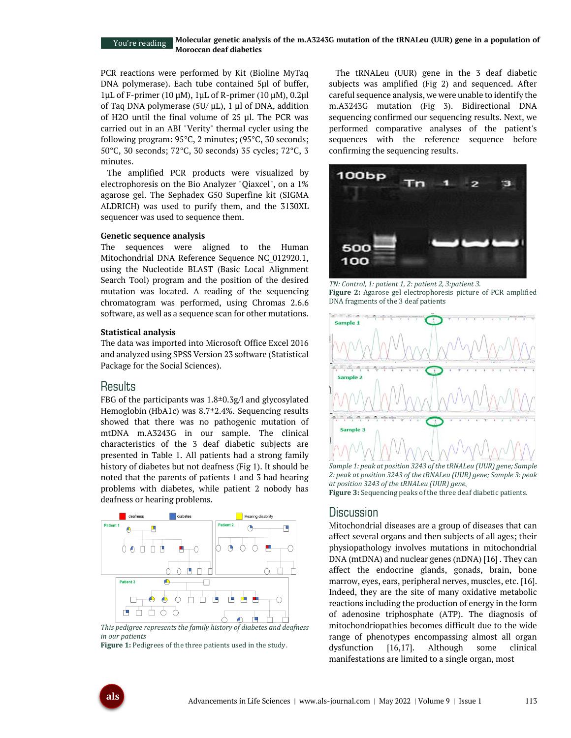#### **Molecular genetic analysis of the m.A3243G mutation of the tRNALeu (UUR) gene in a population of Moroccan deaf diabetics** You're reading

PCR reactions were performed by Kit (Bioline MyTaq DNA polymerase). Each tube contained 5μl of buffer, 1μL of F-primer (10 μM), 1μL of R-primer (10 μM), 0.2μl of Taq DNA polymerase (5U/ μL), 1 μl of DNA, addition of H2O until the final volume of 25 μl. The PCR was carried out in an ABI "Verity" thermal cycler using the following program: 95°C, 2 minutes; (95°C, 30 seconds; 50°C, 30 seconds; 72°C, 30 seconds) 35 cycles; 72°C, 3 minutes.

The amplified PCR products were visualized by electrophoresis on the Bio Analyzer "Qiaxcel", on a 1% agarose gel. The Sephadex G50 Superfine kit (SIGMA ALDRICH) was used to purify them, and the 3130XL sequencer was used to sequence them.

#### **Genetic sequence analysis**

The sequences were aligned to the Human Mitochondrial DNA Reference Sequence NC\_012920.1, using the Nucleotide BLAST (Basic Local Alignment Search Tool) program and the position of the desired mutation was located. A reading of the sequencing chromatogram was performed, using Chromas 2.6.6 software, as well as a sequence scan for other mutations.

#### **Statistical analysis**

The data was imported into Microsoft Office Excel 2016 and analyzed using SPSS Version 23 software (Statistical Package for the Social Sciences).

## **Results**

FBG of the participants was  $1.8 \pm 0.3$ g/l and glycosylated Hemoglobin (HbA1c) was 8.7±2.4%. Sequencing results showed that there was no pathogenic mutation of mtDNA m.A3243G in our sample. The clinical characteristics of the 3 deaf diabetic subjects are presented in Table 1. All patients had a strong family history of diabetes but not deafness (Fig 1). It should be noted that the parents of patients 1 and 3 had hearing problems with diabetes, while patient 2 nobody has deafness or hearing problems.



*This pedigree represents the family history of diabetes and deafness in our patients*

**Figure 1:** Pedigrees of the three patients used in the study.

The tRNALeu (UUR) gene in the 3 deaf diabetic subjects was amplified (Fig 2) and sequenced. After careful sequence analysis, we were unable to identify the m.A3243G mutation (Fig 3). Bidirectional DNA sequencing confirmed our sequencing results. Next, we performed comparative analyses of the patient's sequences with the reference sequence before confirming the sequencing results.



*TN: Control, 1: patient 1, 2: patient 2, 3:patient 3.* **Figure 2:** Agarose gel electrophoresis picture of PCR amplified DNA fragments of the 3 deaf patients



*2: peak at position 3243 of the tRNALeu (UUR) gene; Sample 3: peak at position 3243 of the tRNALeu (UUR) gene.* **Figure 3:** Sequencing peaks of the three deaf diabetic patients*.*

## **Discussion**

Mitochondrial diseases are a group of diseases that can affect several organs and then subjects of all ages; their physiopathology involves mutations in mitochondrial DNA (mtDNA) and nuclear genes (nDNA) [16] . They can affect the endocrine glands, gonads, brain, bone marrow, eyes, ears, peripheral nerves, muscles, etc. [16]. Indeed, they are the site of many oxidative metabolic reactions including the production of energy in the form of adenosine triphosphate (ATP). The diagnosis of mitochondriopathies becomes difficult due to the wide range of phenotypes encompassing almost all organ dysfunction [16,17]. Although some clinical manifestations are limited to a single organ, most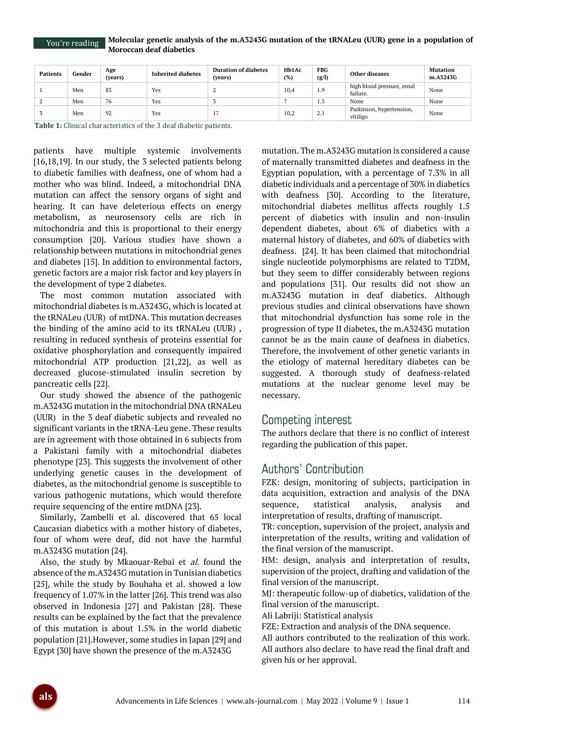You're reading

| <b>Patients</b> | Gender | Age<br>(vears) | <b>Inherited diabetes</b> | <b>Duration of diabetes</b><br>(years) | Hb1Ac<br>(%) | <b>FBG</b><br>(g/l) | Other diseases                         | <b>Mutation</b><br>m.A3243G |
|-----------------|--------|----------------|---------------------------|----------------------------------------|--------------|---------------------|----------------------------------------|-----------------------------|
|                 | Men    | 83             | Yes                       |                                        | 10,4         | 1.9                 | high blood pressure, renal<br>failure. | None                        |
|                 | Men    | 76             | Yes                       |                                        |              | 1.5                 | None                                   | None                        |
|                 | Men    | 92             | Yes                       | $\pm i$                                | 10,2         | 4.1                 | Parkinson, hypertension,<br>vitiligo   | None                        |

**Table 1:** Clinical characteristics of the 3 deaf diabetic patients.

patients have multiple systemic involvements [16,18,19]. In our study, the 3 selected patients belong to diabetic families with deafness, one of whom had a mother who was blind. Indeed, a mitochondrial DNA mutation can affect the sensory organs of sight and hearing. It can have deleterious effects on energy metabolism, as neurosensory cells are rich in mitochondria and this is proportional to their energy consumption [20]. Various studies have shown a relationship between mutations in mitochondrial genes and diabetes [15]. In addition to environmental factors, genetic factors are a major risk factor and key players in the development of type 2 diabetes.

The most common mutation associated with mitochondrial diabetes is m.A3243G, which is located at the tRNALeu (UUR) of mtDNA. This mutation decreases the binding of the amino acid to its tRNALeu (UUR) , resulting in reduced synthesis of proteins essential for oxidative phosphorylation and consequently impaired mitochondrial ATP production [21,22], as well as decreased glucose-stimulated insulin secretion by pancreatic cells [22].

Our study showed the absence of the pathogenic m.A3243G mutation in the mitochondrial DNA tRNALeu (UUR) in the 3 deaf diabetic subjects and revealed no significant variants in the tRNA-Leu gene. These results are in agreement with those obtained in 6 subjects from a Pakistani family with a mitochondrial diabetes phenotype [23]. This suggests the involvement of other underlying genetic causes in the development of diabetes, as the mitochondrial genome is susceptible to various pathogenic mutations, which would therefore require sequencing of the entire mtDNA [23].

Similarly, Zambelli et al. discovered that 65 local Caucasian diabetics with a mother history of diabetes, four of whom were deaf, did not have the harmful m.A3243G mutation [24].

Also, the study by Mkaouar-Rebai et *al*. found the absence of the m.A3243G mutation in Tunisian diabetics [25], while the study by Bouhaha et al. showed a low frequency of 1.07% in the latter [26]. This trend was also observed in Indonesia [27] and Pakistan [28]. These results can be explained by the fact that the prevalence of this mutation is about 1.5% in the world diabetic population [21].However, some studies in Japan [29] and Egypt [30] have shown the presence of the m.A3243G

mutation. The m.A3243G mutation is considered a cause of maternally transmitted diabetes and deafness in the Egyptian population, with a percentage of 7.3% in all diabetic individuals and a percentage of 30% in diabetics with deafness [30]. According to the literature, mitochondrial diabetes mellitus affects roughly 1.5 percent of diabetics with insulin and non-insulin dependent diabetes, about 6% of diabetics with a maternal history of diabetes, and 60% of diabetics with deafness. [24]. It has been claimed that mitochondrial single nucleotide polymorphisms are related to T2DM, but they seem to differ considerably between regions and populations [31]. Our results did not show an m.A3243G mutation in deaf diabetics. Although previous studies and clinical observations have shown that mitochondrial dysfunction has some role in the progression of type II diabetes, the m.A3243G mutation cannot be as the main cause of deafness in diabetics. Therefore, the involvement of other genetic variants in the etiology of maternal hereditary diabetes can be suggested. A thorough study of deafness-related mutations at the nuclear genome level may be necessary.

# Competing interest

The authors declare that there is no conflict of interest regarding the publication of this paper.

# Authors' Contribution

FZK: design, monitoring of subjects, participation in data acquisition, extraction and analysis of the DNA sequence, statistical analysis, analysis and interpretation of results, drafting of manuscript.

TR: conception, supervision of the project, analysis and interpretation of the results, writing and validation of the final version of the manuscript.

HM: design, analysis and interpretation of results, supervision of the project, drafting and validation of the final version of the manuscript.

MJ: therapeutic follow-up of diabetics, validation of the final version of the manuscript.

Ali Labriji: Statistical analysis

FZE: Extraction and analysis of the DNA sequence.

All authors contributed to the realization of this work. All authors also declare to have read the final draft and given his or her approval.